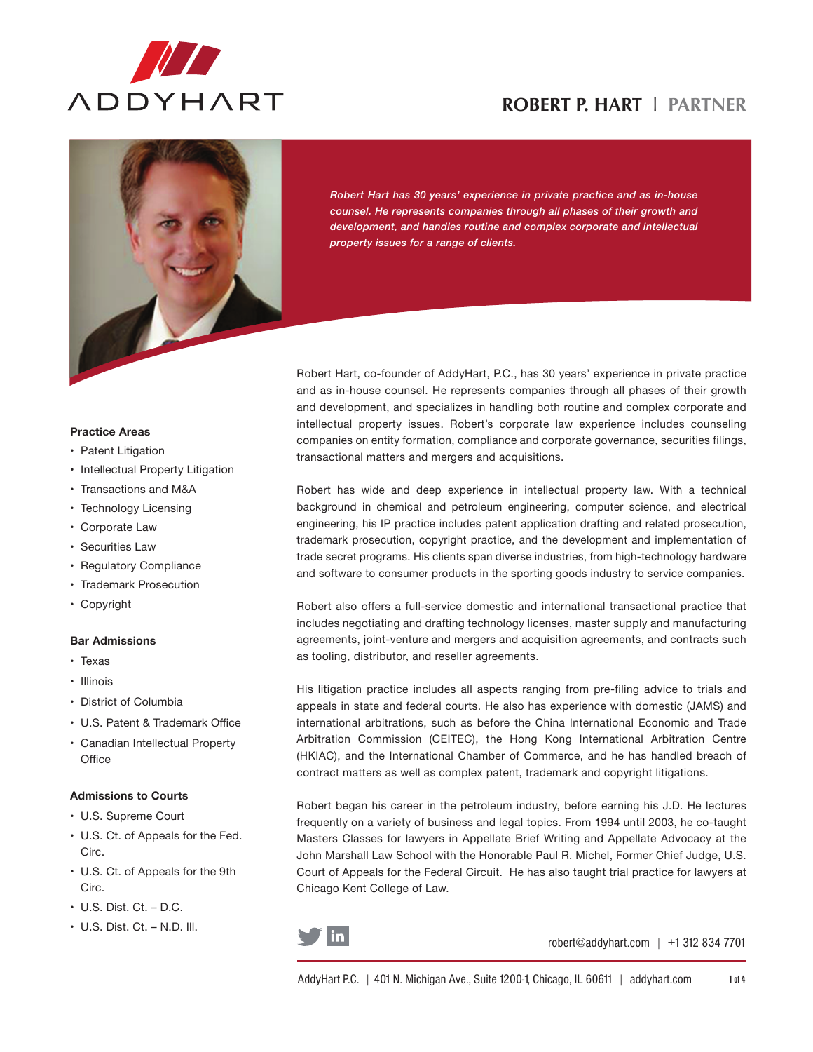

# **ROBERT P. HART** l **PARTNER**



*Robert Hart has 30 years' experience in private practice and as in-house counsel. He represents companies through all phases of their growth and development, and handles routine and complex corporate and intellectual property issues for a range of clients.*

Robert Hart, co-founder of AddyHart, P.C., has 30 years' experience in private practice and as in-house counsel. He represents companies through all phases of their growth and development, and specializes in handling both routine and complex corporate and intellectual property issues. Robert's corporate law experience includes counseling companies on entity formation, compliance and corporate governance, securities filings, transactional matters and mergers and acquisitions.

Robert has wide and deep experience in intellectual property law. With a technical background in chemical and petroleum engineering, computer science, and electrical engineering, his IP practice includes patent application drafting and related prosecution, trademark prosecution, copyright practice, and the development and implementation of trade secret programs. His clients span diverse industries, from high-technology hardware and software to consumer products in the sporting goods industry to service companies.

Robert also offers a full-service domestic and international transactional practice that includes negotiating and drafting technology licenses, master supply and manufacturing agreements, joint-venture and mergers and acquisition agreements, and contracts such as tooling, distributor, and reseller agreements.

His litigation practice includes all aspects ranging from pre-filing advice to trials and appeals in state and federal courts. He also has experience with domestic (JAMS) and international arbitrations, such as before the China International Economic and Trade Arbitration Commission (CEITEC), the Hong Kong International Arbitration Centre (HKIAC), and the International Chamber of Commerce, and he has handled breach of contract matters as well as complex patent, trademark and copyright litigations.

Robert began his career in the petroleum industry, before earning his J.D. He lectures frequently on a variety of business and legal topics. From 1994 until 2003, he co-taught Masters Classes for lawyers in Appellate Brief Writing and Appellate Advocacy at the John Marshall Law School with the Honorable Paul R. Michel, Former Chief Judge, U.S. Court of Appeals for the Federal Circuit. He has also taught trial practice for lawyers at Chicago Kent College of Law.



robert@addyhart.com | +1 312 834 7701

#### **Practice Areas**

- Patent Litigation
- Intellectual Property Litigation
- • Transactions and M&A
- Technology Licensing
- Corporate Law
- Securities Law
- • Regulatory Compliance
- • Trademark Prosecution
- • Copyright

#### **Bar Admissions**

- • Texas
- • Illinois
- • District of Columbia
- • U.S. Patent & Trademark Office
- • Canadian Intellectual Property **Office**

## **Admissions to Courts**

- • U.S. Supreme Court
- • U.S. Ct. of Appeals for the Fed. Circ.
- • U.S. Ct. of Appeals for the 9th Circ.
- $\cdot$  U.S. Dist. Ct. D.C.
- $\cdot$  U.S. Dist. Ct. N.D. III.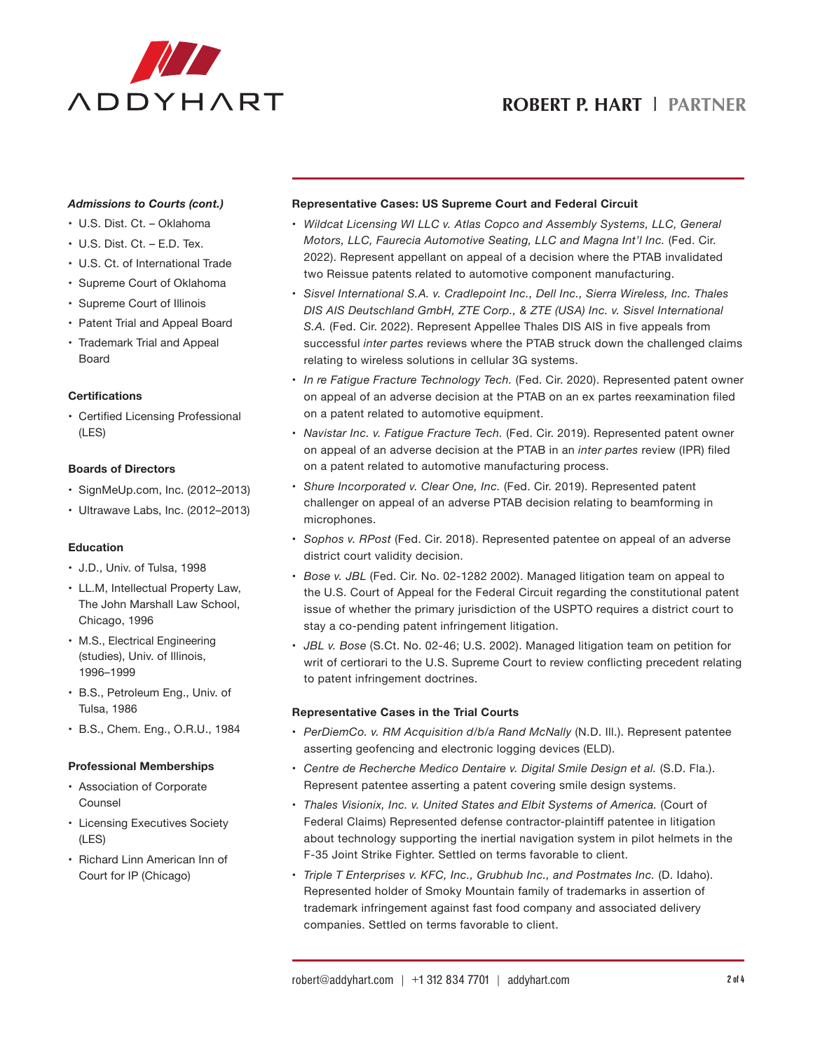

# **ROBERT P. HART** l **PARTNER**

#### *Admissions to Courts (cont.)*

- • U.S. Dist. Ct. Oklahoma
- $\cdot$  U.S. Dist. Ct. E.D. Tex.
- • U.S. Ct. of International Trade
- • Supreme Court of Oklahoma
- • Supreme Court of Illinois
- • Patent Trial and Appeal Board
- Trademark Trial and Appeal Board

#### **Certifications**

• Certified Licensing Professional (LES)

#### **Boards of Directors**

- • SignMeUp.com, Inc. (2012–2013)
- • Ultrawave Labs, Inc. (2012–2013)

## **Education**

- • J.D., Univ. of Tulsa, 1998
- • LL.M, Intellectual Property Law, The John Marshall Law School, Chicago, 1996
- M.S., Electrical Engineering (studies), Univ. of Illinois, 1996–1999
- • B.S., Petroleum Eng., Univ. of Tulsa, 1986
- • B.S., Chem. Eng., O.R.U., 1984

#### **Professional Memberships**

- • Association of Corporate Counsel
- Licensing Executives Society (LES)
- Richard Linn American Inn of Court for IP (Chicago)

## **Representative Cases: US Supreme Court and Federal Circuit**

- • *Wildcat Licensing WI LLC v. Atlas Copco and Assembly Systems, LLC, General Motors, LLC, Faurecia Automotive Seating, LLC and Magna Int'l Inc.* (Fed. Cir. 2022). Represent appellant on appeal of a decision where the PTAB invalidated two Reissue patents related to automotive component manufacturing.
- • *Sisvel International S.A. v. Cradlepoint Inc., Dell Inc., Sierra Wireless, Inc. Thales DIS AIS Deutschland GmbH, ZTE Corp., & ZTE (USA) Inc. v. Sisvel International S.A.* (Fed. Cir. 2022). Represent Appellee Thales DIS AIS in five appeals from successful *inter partes* reviews where the PTAB struck down the challenged claims relating to wireless solutions in cellular 3G systems.
- • *In re Fatigue Fracture Technology Tech.* (Fed. Cir. 2020). Represented patent owner on appeal of an adverse decision at the PTAB on an ex partes reexamination filed on a patent related to automotive equipment.
- • *Navistar Inc. v. Fatigue Fracture Tech.* (Fed. Cir. 2019). Represented patent owner on appeal of an adverse decision at the PTAB in an *inter partes* review (IPR) filed on a patent related to automotive manufacturing process.
- • *Shure Incorporated v. Clear One, Inc.* (Fed. Cir. 2019). Represented patent challenger on appeal of an adverse PTAB decision relating to beamforming in microphones.
- • *Sophos v. RPost* (Fed. Cir. 2018). Represented patentee on appeal of an adverse district court validity decision.
- • *Bose v. JBL* (Fed. Cir. No. 02-1282 2002). Managed litigation team on appeal to the U.S. Court of Appeal for the Federal Circuit regarding the constitutional patent issue of whether the primary jurisdiction of the USPTO requires a district court to stay a co-pending patent infringement litigation.
- • *JBL v. Bose* (S.Ct. No. 02-46; U.S. 2002). Managed litigation team on petition for writ of certiorari to the U.S. Supreme Court to review conflicting precedent relating to patent infringement doctrines.

## **Representative Cases in the Trial Courts**

- • *PerDiemCo. v. RM Acquisition d/b/a Rand McNally* (N.D. Ill.). Represent patentee asserting geofencing and electronic logging devices (ELD).
- • *Centre de Recherche Medico Dentaire v. Digital Smile Design et al.* (S.D. Fla.). Represent patentee asserting a patent covering smile design systems.
- • *Thales Visionix, Inc. v. United States and Elbit Systems of America.* (Court of Federal Claims) Represented defense contractor-plaintiff patentee in litigation about technology supporting the inertial navigation system in pilot helmets in the F-35 Joint Strike Fighter. Settled on terms favorable to client.
- • *Triple T Enterprises v. KFC, Inc., Grubhub Inc., and Postmates Inc.* (D. Idaho). Represented holder of Smoky Mountain family of trademarks in assertion of trademark infringement against fast food company and associated delivery companies. Settled on terms favorable to client.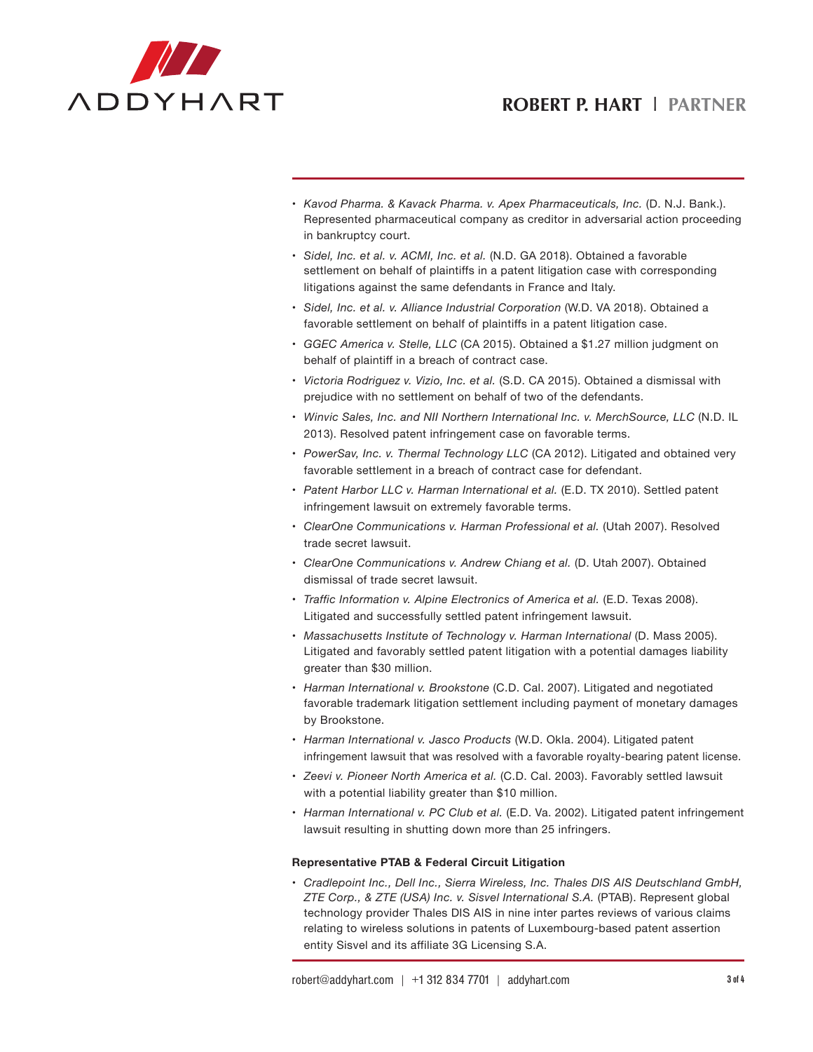# **ROBERT P. HART** l **PARTNER**



- • *Kavod Pharma. & Kavack Pharma. v. Apex Pharmaceuticals, Inc.* (D. N.J. Bank.). Represented pharmaceutical company as creditor in adversarial action proceeding in bankruptcy court.
- • *Sidel, Inc. et al. v. ACMI, Inc. et al.* (N.D. GA 2018). Obtained a favorable settlement on behalf of plaintiffs in a patent litigation case with corresponding litigations against the same defendants in France and Italy.
- • *Sidel, Inc. et al. v. Alliance Industrial Corporation* (W.D. VA 2018). Obtained a favorable settlement on behalf of plaintiffs in a patent litigation case.
- • *GGEC America v. Stelle, LLC* (CA 2015). Obtained a \$1.27 million judgment on behalf of plaintiff in a breach of contract case.
- • *Victoria Rodriguez v. Vizio, Inc. et al.* (S.D. CA 2015). Obtained a dismissal with prejudice with no settlement on behalf of two of the defendants.
- • *Winvic Sales, Inc. and NII Northern International Inc. v. MerchSource, LLC* (N.D. IL 2013). Resolved patent infringement case on favorable terms.
- • *PowerSav, Inc. v. Thermal Technology LLC* (CA 2012). Litigated and obtained very favorable settlement in a breach of contract case for defendant.
- • *Patent Harbor LLC v. Harman International et al.* (E.D. TX 2010). Settled patent infringement lawsuit on extremely favorable terms.
- • *ClearOne Communications v. Harman Professional et al.* (Utah 2007). Resolved trade secret lawsuit.
- • *ClearOne Communications v. Andrew Chiang et al.* (D. Utah 2007). Obtained dismissal of trade secret lawsuit.
- • *Traffic Information v. Alpine Electronics of America et al.* (E.D. Texas 2008). Litigated and successfully settled patent infringement lawsuit.
- • *Massachusetts Institute of Technology v. Harman International* (D. Mass 2005). Litigated and favorably settled patent litigation with a potential damages liability greater than \$30 million.
- • *Harman International v. Brookstone* (C.D. Cal. 2007). Litigated and negotiated favorable trademark litigation settlement including payment of monetary damages by Brookstone.
- • *Harman International v. Jasco Products* (W.D. Okla. 2004). Litigated patent infringement lawsuit that was resolved with a favorable royalty-bearing patent license.
- • *Zeevi v. Pioneer North America et al.* (C.D. Cal. 2003). Favorably settled lawsuit with a potential liability greater than \$10 million.
- • *Harman International v. PC Club et al.* (E.D. Va. 2002). Litigated patent infringement lawsuit resulting in shutting down more than 25 infringers.

## **Representative PTAB & Federal Circuit Litigation**

• *Cradlepoint Inc., Dell Inc., Sierra Wireless, Inc. Thales DIS AIS Deutschland GmbH, ZTE Corp., & ZTE (USA) Inc. v. Sisvel International S.A.* (PTAB). Represent global technology provider Thales DIS AIS in nine inter partes reviews of various claims relating to wireless solutions in patents of Luxembourg-based patent assertion entity Sisvel and its affiliate 3G Licensing S.A.